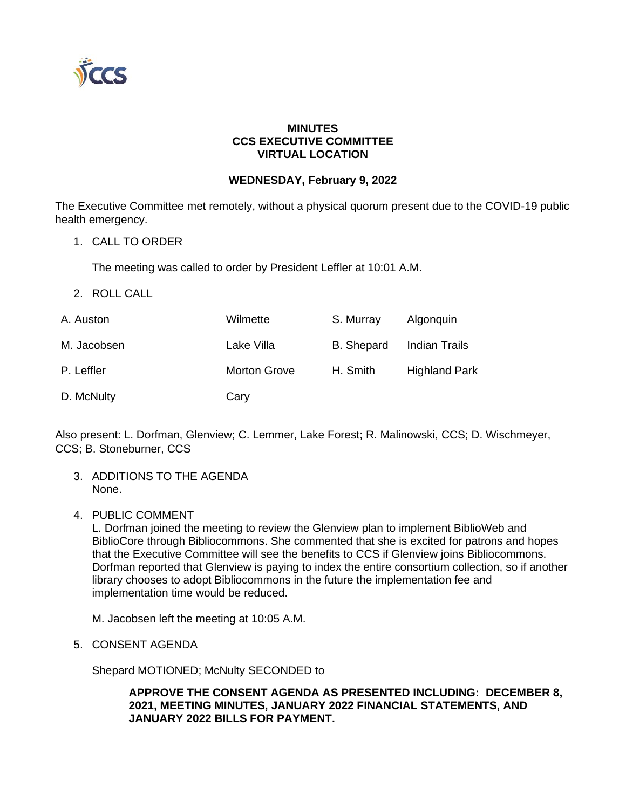

# **MINUTES CCS EXECUTIVE COMMITTEE VIRTUAL LOCATION**

# **WEDNESDAY, February 9, 2022**

The Executive Committee met remotely, without a physical quorum present due to the COVID-19 public health emergency.

1. CALL TO ORDER

The meeting was called to order by President Leffler at 10:01 A.M.

2. ROLL CALL

| A. Auston   | Wilmette            | S. Murray  | Algonguin            |
|-------------|---------------------|------------|----------------------|
| M. Jacobsen | Lake Villa          | B. Shepard | Indian Trails        |
| P. Leffler  | <b>Morton Grove</b> | H. Smith   | <b>Highland Park</b> |
| D. McNulty  | Cary                |            |                      |

Also present: L. Dorfman, Glenview; C. Lemmer, Lake Forest; R. Malinowski, CCS; D. Wischmeyer, CCS; B. Stoneburner, CCS

- 3. ADDITIONS TO THE AGENDA None.
- 4. PUBLIC COMMENT

L. Dorfman joined the meeting to review the Glenview plan to implement BiblioWeb and BiblioCore through Bibliocommons. She commented that she is excited for patrons and hopes that the Executive Committee will see the benefits to CCS if Glenview joins Bibliocommons. Dorfman reported that Glenview is paying to index the entire consortium collection, so if another library chooses to adopt Bibliocommons in the future the implementation fee and implementation time would be reduced.

M. Jacobsen left the meeting at 10:05 A.M.

5. CONSENT AGENDA

Shepard MOTIONED; McNulty SECONDED to

**APPROVE THE CONSENT AGENDA AS PRESENTED INCLUDING: DECEMBER 8, 2021, MEETING MINUTES, JANUARY 2022 FINANCIAL STATEMENTS, AND JANUARY 2022 BILLS FOR PAYMENT.**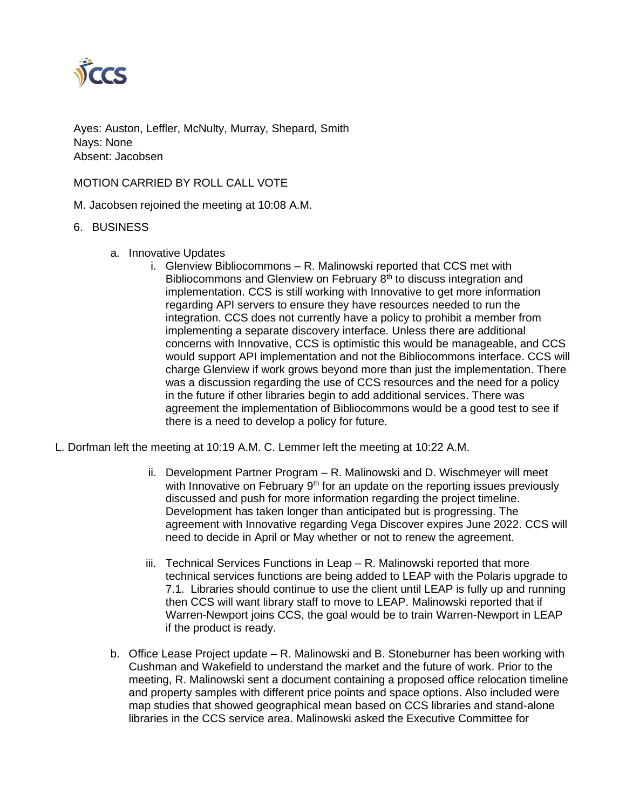

Ayes: Auston, Leffler, McNulty, Murray, Shepard, Smith Nays: None Absent: Jacobsen

### MOTION CARRIED BY ROLL CALL VOTE

M. Jacobsen rejoined the meeting at 10:08 A.M.

#### 6. BUSINESS

- a. Innovative Updates
	- i. Glenview Bibliocommons R. Malinowski reported that CCS met with Bibliocommons and Glenview on February 8<sup>th</sup> to discuss integration and implementation. CCS is still working with Innovative to get more information regarding API servers to ensure they have resources needed to run the integration. CCS does not currently have a policy to prohibit a member from implementing a separate discovery interface. Unless there are additional concerns with Innovative, CCS is optimistic this would be manageable, and CCS would support API implementation and not the Bibliocommons interface. CCS will charge Glenview if work grows beyond more than just the implementation. There was a discussion regarding the use of CCS resources and the need for a policy in the future if other libraries begin to add additional services. There was agreement the implementation of Bibliocommons would be a good test to see if there is a need to develop a policy for future.
- L. Dorfman left the meeting at 10:19 A.M. C. Lemmer left the meeting at 10:22 A.M.
	- ii. Development Partner Program R. Malinowski and D. Wischmeyer will meet with Innovative on February  $9<sup>th</sup>$  for an update on the reporting issues previously discussed and push for more information regarding the project timeline. Development has taken longer than anticipated but is progressing. The agreement with Innovative regarding Vega Discover expires June 2022. CCS will need to decide in April or May whether or not to renew the agreement.
	- iii. Technical Services Functions in Leap R. Malinowski reported that more technical services functions are being added to LEAP with the Polaris upgrade to 7.1. Libraries should continue to use the client until LEAP is fully up and running then CCS will want library staff to move to LEAP. Malinowski reported that if Warren-Newport joins CCS, the goal would be to train Warren-Newport in LEAP if the product is ready.
	- b. Office Lease Project update R. Malinowski and B. Stoneburner has been working with Cushman and Wakefield to understand the market and the future of work. Prior to the meeting, R. Malinowski sent a document containing a proposed office relocation timeline and property samples with different price points and space options. Also included were map studies that showed geographical mean based on CCS libraries and stand-alone libraries in the CCS service area. Malinowski asked the Executive Committee for